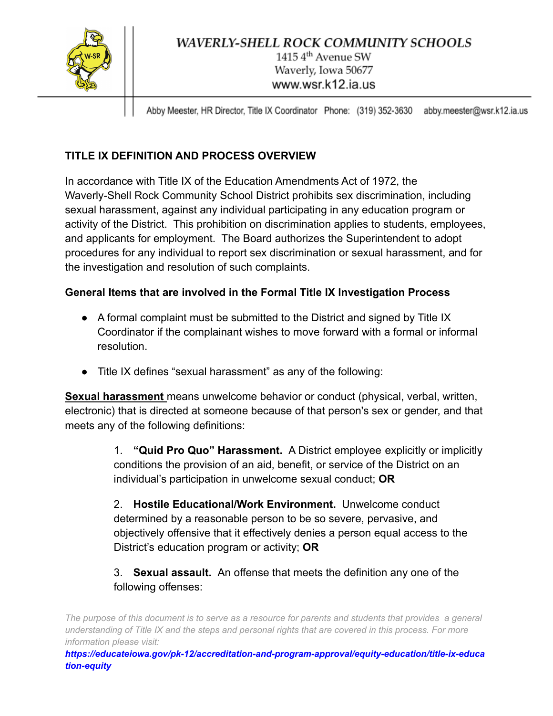

Abby Meester, HR Director, Title IX Coordinator Phone: (319) 352-3630 abby.meester@wsr.k12.ia.us

# **TITLE IX DEFINITION AND PROCESS OVERVIEW**

In accordance with Title IX of the Education Amendments Act of 1972, the Waverly-Shell Rock Community School District prohibits sex discrimination, including sexual harassment, against any individual participating in any education program or activity of the District. This prohibition on discrimination applies to students, employees, and applicants for employment. The Board authorizes the Superintendent to adopt procedures for any individual to report sex discrimination or sexual harassment, and for the investigation and resolution of such complaints.

## **General Items that are involved in the Formal Title IX Investigation Process**

- A formal complaint must be submitted to the District and signed by Title IX Coordinator if the complainant wishes to move forward with a formal or informal resolution.
- Title IX defines "sexual harassment" as any of the following:

**Sexual harassment** means unwelcome behavior or conduct (physical, verbal, written, electronic) that is directed at someone because of that person's sex or gender, and that meets any of the following definitions:

> 1. **"Quid Pro Quo" Harassment.** A District employee explicitly or implicitly conditions the provision of an aid, benefit, or service of the District on an individual's participation in unwelcome sexual conduct; **OR**

2. **Hostile Educational/Work Environment.** Unwelcome conduct determined by a reasonable person to be so severe, pervasive, and objectively offensive that it effectively denies a person equal access to the District's education program or activity; **OR**

## 3. **Sexual assault.** An offense that meets the definition any one of the following offenses:

The purpose of this document is to serve as a resource for parents and students that provides a general understanding of Title IX and the steps and personal rights that are covered in this process. For more *information please visit:*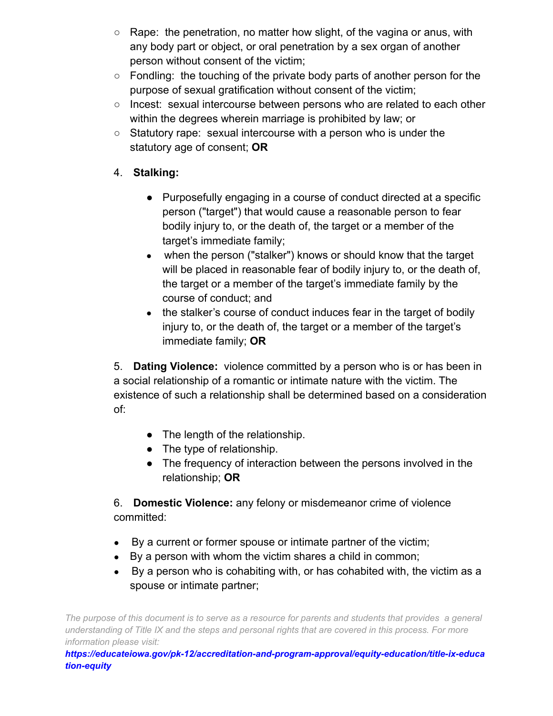- Rape: the penetration, no matter how slight, of the vagina or anus, with any body part or object, or oral penetration by a sex organ of another person without consent of the victim;
- Fondling: the touching of the private body parts of another person for the purpose of sexual gratification without consent of the victim;
- Incest: sexual intercourse between persons who are related to each other within the degrees wherein marriage is prohibited by law; or
- Statutory rape: sexual intercourse with a person who is under the statutory age of consent; **OR**

### 4. **Stalking:**

- Purposefully engaging in a course of conduct directed at a specific person ("target") that would cause a reasonable person to fear bodily injury to, or the death of, the target or a member of the target's immediate family;
- when the person ("stalker") knows or should know that the target will be placed in reasonable fear of bodily injury to, or the death of, the target or a member of the target's immediate family by the course of conduct; and
- the stalker's course of conduct induces fear in the target of bodily injury to, or the death of, the target or a member of the target's immediate family; **OR**

5. **Dating Violence:** violence committed by a person who is or has been in a social relationship of a romantic or intimate nature with the victim. The existence of such a relationship shall be determined based on a consideration of:

- The length of the relationship.
- The type of relationship.
- The frequency of interaction between the persons involved in the relationship; **OR**

6. **Domestic Violence:** any felony or misdemeanor crime of violence committed:

- By a current or former spouse or intimate partner of the victim;
- By a person with whom the victim shares a child in common;
- By a person who is cohabiting with, or has cohabited with, the victim as a spouse or intimate partner;

The purpose of this document is to serve as a resource for parents and students that provides a general understanding of Title IX and the steps and personal rights that are covered in this process. For more *information please visit:*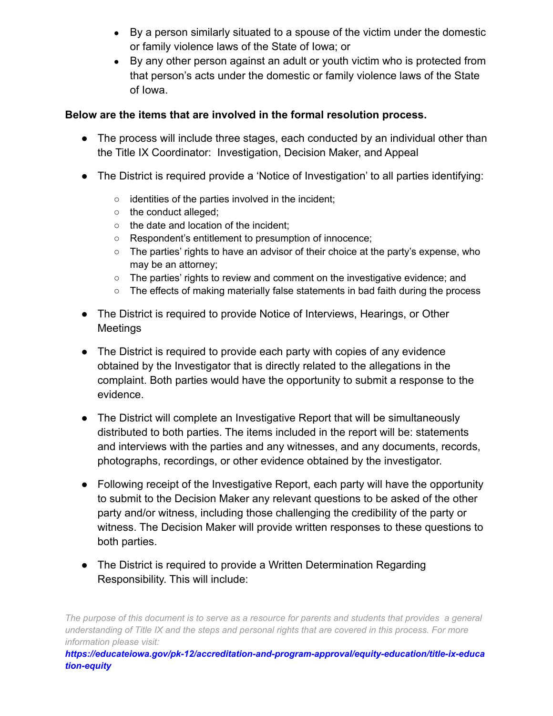- By a person similarly situated to a spouse of the victim under the domestic or family violence laws of the State of Iowa; or
- By any other person against an adult or youth victim who is protected from that person's acts under the domestic or family violence laws of the State of Iowa.

#### **Below are the items that are involved in the formal resolution process.**

- The process will include three stages, each conducted by an individual other than the Title IX Coordinator: Investigation, Decision Maker, and Appeal
- The District is required provide a 'Notice of Investigation' to all parties identifying:
	- identities of the parties involved in the incident;
	- the conduct alleged;
	- the date and location of the incident;
	- Respondent's entitlement to presumption of innocence;
	- The parties' rights to have an advisor of their choice at the party's expense, who may be an attorney;
	- The parties' rights to review and comment on the investigative evidence; and
	- $\circ$  The effects of making materially false statements in bad faith during the process
- The District is required to provide Notice of Interviews, Hearings, or Other Meetings
- The District is required to provide each party with copies of any evidence obtained by the Investigator that is directly related to the allegations in the complaint. Both parties would have the opportunity to submit a response to the evidence.
- The District will complete an Investigative Report that will be simultaneously distributed to both parties. The items included in the report will be: statements and interviews with the parties and any witnesses, and any documents, records, photographs, recordings, or other evidence obtained by the investigator.
- Following receipt of the Investigative Report, each party will have the opportunity to submit to the Decision Maker any relevant questions to be asked of the other party and/or witness, including those challenging the credibility of the party or witness. The Decision Maker will provide written responses to these questions to both parties.
- The District is required to provide a Written Determination Regarding Responsibility. This will include:

The purpose of this document is to serve as a resource for parents and students that provides a general understanding of Title IX and the steps and personal rights that are covered in this process. For more *information please visit:*